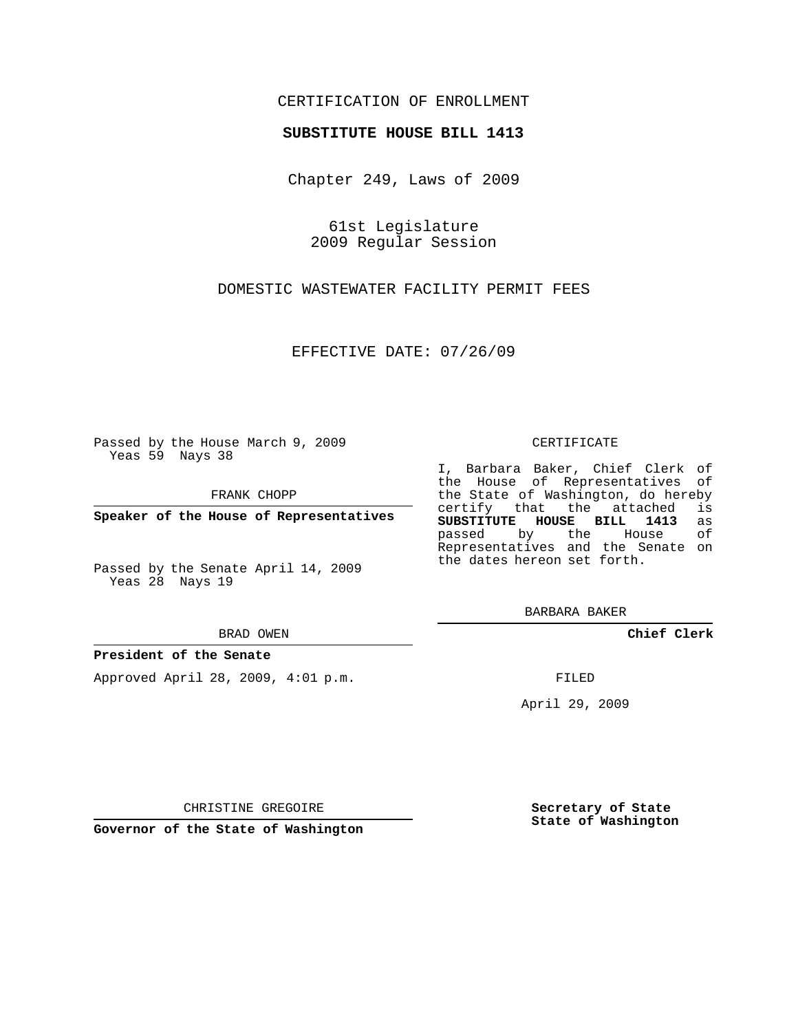## CERTIFICATION OF ENROLLMENT

### **SUBSTITUTE HOUSE BILL 1413**

Chapter 249, Laws of 2009

61st Legislature 2009 Regular Session

DOMESTIC WASTEWATER FACILITY PERMIT FEES

EFFECTIVE DATE: 07/26/09

Passed by the House March 9, 2009 Yeas 59 Nays 38

FRANK CHOPP

**Speaker of the House of Representatives**

Passed by the Senate April 14, 2009 Yeas 28 Nays 19

#### BRAD OWEN

### **President of the Senate**

Approved April 28, 2009, 4:01 p.m.

#### CERTIFICATE

I, Barbara Baker, Chief Clerk of the House of Representatives of the State of Washington, do hereby<br>certify that the attached is certify that the attached **SUBSTITUTE HOUSE BILL 1413** as passed by the House Representatives and the Senate on the dates hereon set forth.

BARBARA BAKER

**Chief Clerk**

FILED

April 29, 2009

CHRISTINE GREGOIRE

**Governor of the State of Washington**

**Secretary of State State of Washington**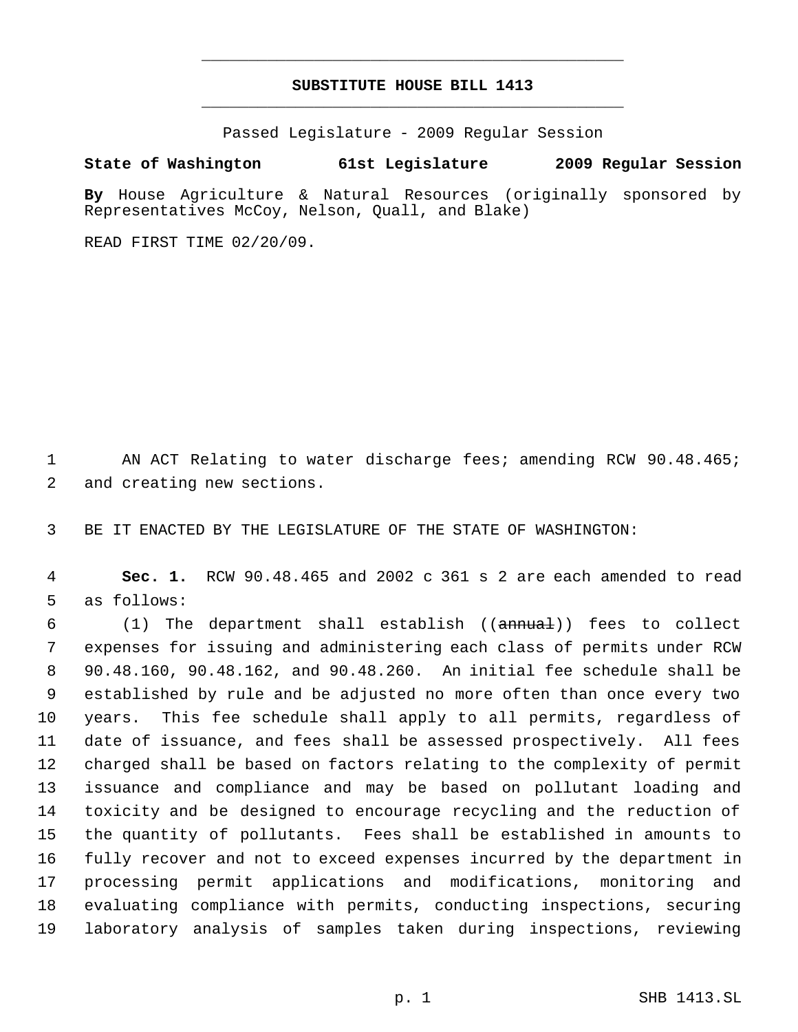# **SUBSTITUTE HOUSE BILL 1413** \_\_\_\_\_\_\_\_\_\_\_\_\_\_\_\_\_\_\_\_\_\_\_\_\_\_\_\_\_\_\_\_\_\_\_\_\_\_\_\_\_\_\_\_\_

\_\_\_\_\_\_\_\_\_\_\_\_\_\_\_\_\_\_\_\_\_\_\_\_\_\_\_\_\_\_\_\_\_\_\_\_\_\_\_\_\_\_\_\_\_

Passed Legislature - 2009 Regular Session

## **State of Washington 61st Legislature 2009 Regular Session**

**By** House Agriculture & Natural Resources (originally sponsored by Representatives McCoy, Nelson, Quall, and Blake)

READ FIRST TIME 02/20/09.

 AN ACT Relating to water discharge fees; amending RCW 90.48.465; and creating new sections.

BE IT ENACTED BY THE LEGISLATURE OF THE STATE OF WASHINGTON:

 **Sec. 1.** RCW 90.48.465 and 2002 c 361 s 2 are each amended to read as follows:

 (1) The department shall establish ((annual)) fees to collect expenses for issuing and administering each class of permits under RCW 90.48.160, 90.48.162, and 90.48.260. An initial fee schedule shall be established by rule and be adjusted no more often than once every two years. This fee schedule shall apply to all permits, regardless of date of issuance, and fees shall be assessed prospectively. All fees charged shall be based on factors relating to the complexity of permit issuance and compliance and may be based on pollutant loading and toxicity and be designed to encourage recycling and the reduction of the quantity of pollutants. Fees shall be established in amounts to fully recover and not to exceed expenses incurred by the department in processing permit applications and modifications, monitoring and evaluating compliance with permits, conducting inspections, securing laboratory analysis of samples taken during inspections, reviewing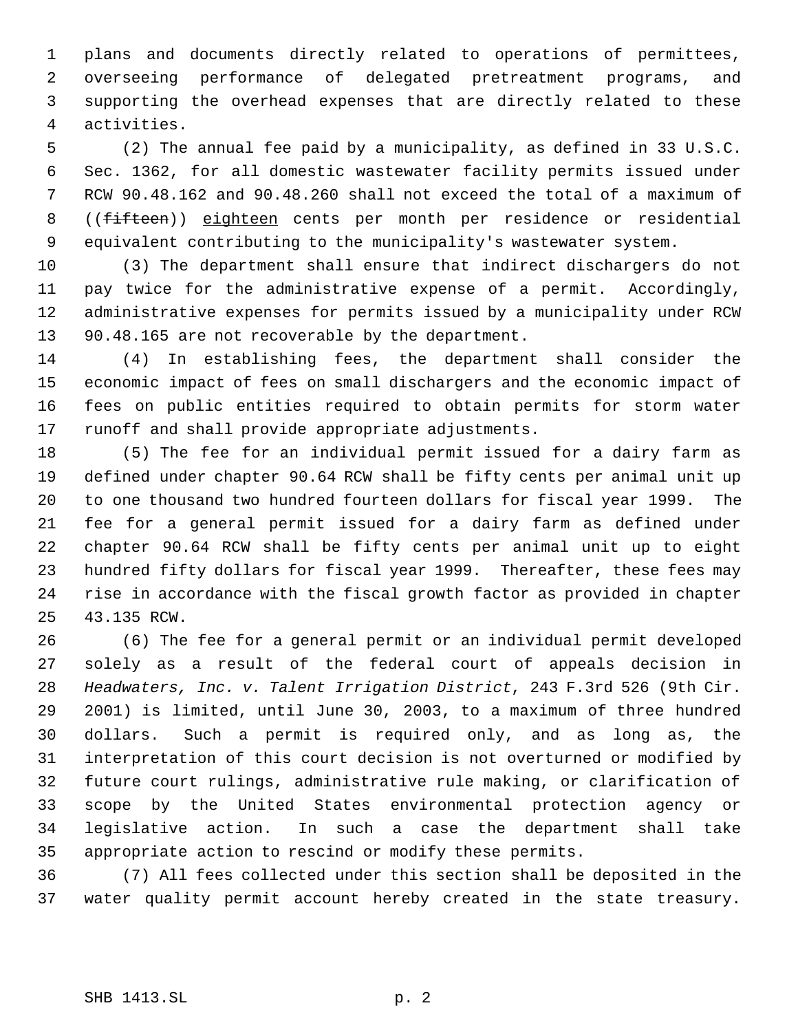plans and documents directly related to operations of permittees, overseeing performance of delegated pretreatment programs, and supporting the overhead expenses that are directly related to these activities.

 (2) The annual fee paid by a municipality, as defined in 33 U.S.C. Sec. 1362, for all domestic wastewater facility permits issued under RCW 90.48.162 and 90.48.260 shall not exceed the total of a maximum of 8 ((fifteen)) eighteen cents per month per residence or residential equivalent contributing to the municipality's wastewater system.

 (3) The department shall ensure that indirect dischargers do not pay twice for the administrative expense of a permit. Accordingly, administrative expenses for permits issued by a municipality under RCW 90.48.165 are not recoverable by the department.

 (4) In establishing fees, the department shall consider the economic impact of fees on small dischargers and the economic impact of fees on public entities required to obtain permits for storm water runoff and shall provide appropriate adjustments.

 (5) The fee for an individual permit issued for a dairy farm as defined under chapter 90.64 RCW shall be fifty cents per animal unit up to one thousand two hundred fourteen dollars for fiscal year 1999. The fee for a general permit issued for a dairy farm as defined under chapter 90.64 RCW shall be fifty cents per animal unit up to eight hundred fifty dollars for fiscal year 1999. Thereafter, these fees may rise in accordance with the fiscal growth factor as provided in chapter 43.135 RCW.

 (6) The fee for a general permit or an individual permit developed solely as a result of the federal court of appeals decision in *Headwaters, Inc. v. Talent Irrigation District*, 243 F.3rd 526 (9th Cir. 2001) is limited, until June 30, 2003, to a maximum of three hundred dollars. Such a permit is required only, and as long as, the interpretation of this court decision is not overturned or modified by future court rulings, administrative rule making, or clarification of scope by the United States environmental protection agency or legislative action. In such a case the department shall take appropriate action to rescind or modify these permits.

 (7) All fees collected under this section shall be deposited in the water quality permit account hereby created in the state treasury.